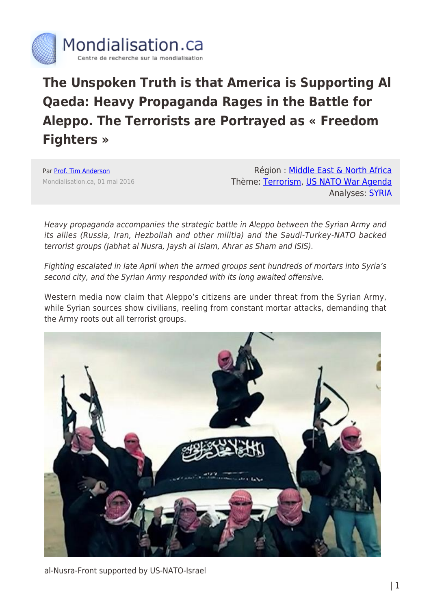

# **The Unspoken Truth is that America is Supporting Al Qaeda: Heavy Propaganda Rages in the Battle for Aleppo. The Terrorists are Portrayed as « Freedom Fighters »**

Par [Prof. Tim Anderson](https://www.mondialisation.ca/author/tim-anderson) Mondialisation.ca, 01 mai 2016

Région : [Middle East & North Africa](https://www.mondialisation.ca/region/middle-east) Thème: [Terrorism](https://www.mondialisation.ca/theme/9-11-war-on-terrorism), [US NATO War Agenda](https://www.mondialisation.ca/theme/us-nato-war-agenda) Analyses: [SYRIA](https://www.mondialisation.ca/indepthreport/syria-nato-s-next-war)

Heavy propaganda accompanies the strategic battle in Aleppo between the Syrian Army and its allies (Russia, Iran, Hezbollah and other militia) and the Saudi-Turkey-NATO backed terrorist groups (Jabhat al Nusra, Jaysh al Islam, Ahrar as Sham and ISIS).

Fighting escalated in late April when the armed groups sent hundreds of mortars into Syria's second city, and the Syrian Army responded with its long awaited offensive.

Western media now claim that Aleppo's citizens are under threat from the Syrian Army, while Syrian sources show civilians, reeling from constant mortar attacks, demanding that the Army roots out all terrorist groups.



al-Nusra-Front supported by US-NATO-Israel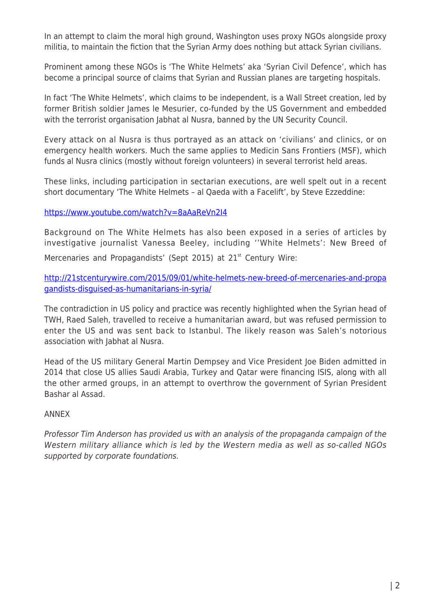In an attempt to claim the moral high ground, Washington uses proxy NGOs alongside proxy militia, to maintain the fiction that the Syrian Army does nothing but attack Syrian civilians.

Prominent among these NGOs is 'The White Helmets' aka 'Syrian Civil Defence', which has become a principal source of claims that Syrian and Russian planes are targeting hospitals.

In fact 'The White Helmets', which claims to be independent, is a Wall Street creation, led by former British soldier James le Mesurier, co-funded by the US Government and embedded with the terrorist organisation Jabhat al Nusra, banned by the UN Security Council.

Every attack on al Nusra is thus portrayed as an attack on 'civilians' and clinics, or on emergency health workers. Much the same applies to Medicin Sans Frontiers (MSF), which funds al Nusra clinics (mostly without foreign volunteers) in several terrorist held areas.

These links, including participation in sectarian executions, are well spelt out in a recent short documentary 'The White Helmets – al Qaeda with a Facelift', by Steve Ezzeddine:

<https://www.youtube.com/watch?v=8aAaReVn2I4>

Background on The White Helmets has also been exposed in a series of articles by investigative journalist Vanessa Beeley, including ''White Helmets': New Breed of Mercenaries and Propagandists' (Sept 2015) at 21<sup>st</sup> Century Wire:

[http://21stcenturywire.com/2015/09/01/white-helmets-new-breed-of-mercenaries-and-propa](http://21stcenturywire.com/2015/09/01/white-helmets-new-breed-of-mercenaries-and-propagandists-disguised-as-humanitarians-in-syria/) [gandists-disguised-as-humanitarians-in-syria/](http://21stcenturywire.com/2015/09/01/white-helmets-new-breed-of-mercenaries-and-propagandists-disguised-as-humanitarians-in-syria/)

The contradiction in US policy and practice was recently highlighted when the Syrian head of TWH, Raed Saleh, travelled to receive a humanitarian award, but was refused permission to enter the US and was sent back to Istanbul. The likely reason was Saleh's notorious association with Jabhat al Nusra.

Head of the US military General Martin Dempsey and Vice President Joe Biden admitted in 2014 that close US allies Saudi Arabia, Turkey and Qatar were financing ISIS, along with all the other armed groups, in an attempt to overthrow the government of Syrian President Bashar al Assad.

## ANNEX

Professor Tim Anderson has provided us with an analysis of the propaganda campaign of the Western military alliance which is led by the Western media as well as so-called NGOs supported by corporate foundations.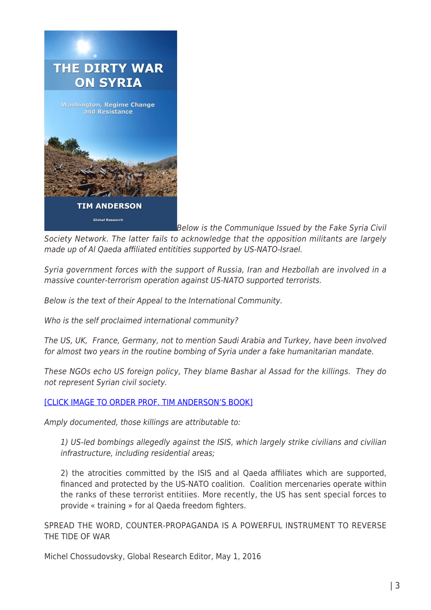

Below is the Communique Issued by the Fake Syria Civil Society Network. The latter fails to acknowledge that the opposition militants are largely made up of Al Qaeda affiliated entitities supported by US-NATO-Israel.

Syria government forces with the support of Russia, Iran and Hezbollah are involved in a massive counter-terrorism operation against US-NATO supported terrorists.

Below is the text of their Appeal to the International Community.

Who is the self proclaimed international community?

The US, UK, France, Germany, not to mention Saudi Arabia and Turkey, have been involved for almost two years in the routine bombing of Syria under a fake humanitarian mandate.

These NGOs echo US foreign policy, They blame Bashar al Assad for the killings. They do not represent Syrian civil society.

## [\[CLICK IMAGE TO ORDER PROF. TIM ANDERSON'S BOOK\]](https://www.mondialisation.ca/Western media now claim that Aleppo’s citizens are under threat from the Syrian Army, while Syrian sources show civilians, reeling from constant mortar attacks, demanding that the Army roots out all terrorist groups.)

Amply documented, those killings are attributable to:

1) US-led bombings allegedly against the ISIS, which largely strike civilians and civilian infrastructure, including residential areas;

2) the atrocities committed by the ISIS and al Qaeda affiliates which are supported, financed and protected by the US-NATO coalition. Coalition mercenaries operate within the ranks of these terrorist entitiies. More recently, the US has sent special forces to provide « training » for al Qaeda freedom fighters.

SPREAD THE WORD, COUNTER-PROPAGANDA IS A POWERFUL INSTRUMENT TO REVERSE THE TIDE OF WAR

Michel Chossudovsky, Global Research Editor, May 1, 2016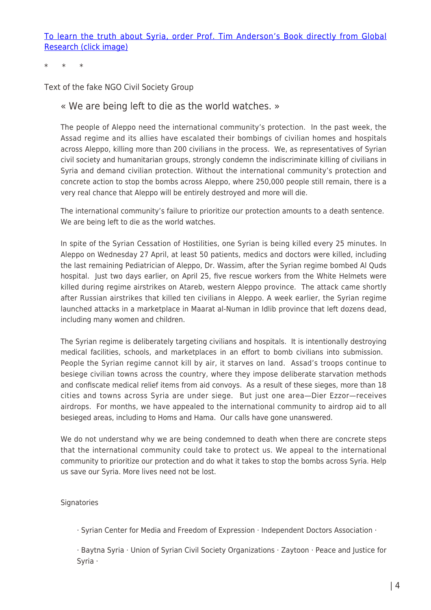[To learn the truth about Syria, order Prof. Tim Anderson's Book directly from Global](https://store.globalresearch.ca/store/the-dirty-war-on-syria-washington-regime-change-and-resistance-pdf/) [Research \(click image\)](https://store.globalresearch.ca/store/the-dirty-war-on-syria-washington-regime-change-and-resistance-pdf/)

\* \* \*

Text of the fake NGO Civil Society Group

#### « We are being left to die as the world watches. »

The people of Aleppo need the international community's protection. In the past week, the Assad regime and its allies have escalated their bombings of civilian homes and hospitals across Aleppo, killing more than 200 civilians in the process. We, as representatives of Syrian civil society and humanitarian groups, strongly condemn the indiscriminate killing of civilians in Syria and demand civilian protection. Without the international community's protection and concrete action to stop the bombs across Aleppo, where 250,000 people still remain, there is a very real chance that Aleppo will be entirely destroyed and more will die.

The international community's failure to prioritize our protection amounts to a death sentence. We are being left to die as the world watches.

In spite of the Syrian Cessation of Hostilities, one Syrian is being killed every 25 minutes. In Aleppo on Wednesday 27 April, at least 50 patients, medics and doctors were killed, including the last remaining Pediatrician of Aleppo, Dr. Wassim, after the Syrian regime bombed Al Quds hospital. Just two days earlier, on April 25, five rescue workers from the White Helmets were killed during regime airstrikes on Atareb, western Aleppo province. The attack came shortly after Russian airstrikes that killed ten civilians in Aleppo. A week earlier, the Syrian regime launched attacks in a marketplace in Maarat al-Numan in Idlib province that left dozens dead, including many women and children.

The Syrian regime is deliberately targeting civilians and hospitals. It is intentionally destroying medical facilities, schools, and marketplaces in an effort to bomb civilians into submission. People the Syrian regime cannot kill by air, it starves on land. Assad's troops continue to besiege civilian towns across the country, where they impose deliberate starvation methods and confiscate medical relief items from aid convoys. As a result of these sieges, more than 18 cities and towns across Syria are under siege. But just one area—Dier Ezzor—receives airdrops. For months, we have appealed to the international community to airdrop aid to all besieged areas, including to Homs and Hama. Our calls have gone unanswered.

We do not understand why we are being condemned to death when there are concrete steps that the international community could take to protect us. We appeal to the international community to prioritize our protection and do what it takes to stop the bombs across Syria. Help us save our Syria. More lives need not be lost.

#### **Signatories**

· Syrian Center for Media and Freedom of Expression · Independent Doctors Association ·

· Baytna Syria · Union of Syrian Civil Society Organizations · Zaytoon · Peace and Justice for Syria ·